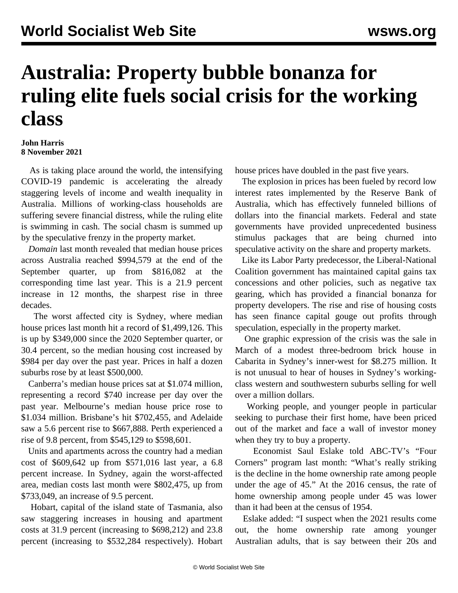## **Australia: Property bubble bonanza for ruling elite fuels social crisis for the working class**

## **John Harris 8 November 2021**

 As is taking place around the world, the intensifying COVID-19 pandemic is accelerating the already staggering levels of income and wealth inequality in Australia. Millions of working-class households are suffering severe financial distress, while the ruling elite is swimming in cash. The social chasm is summed up by the speculative frenzy in the property market.

 *Domain* last month revealed that median house prices across Australia reached \$994,579 at the end of the September quarter, up from \$816,082 at the corresponding time last year. This is a 21.9 percent increase in 12 months, the sharpest rise in three decades.

 The worst affected city is Sydney, where median house prices last month hit a record of \$1,499,126. This is up by \$349,000 since the 2020 September quarter, or 30.4 percent, so the median housing cost increased by \$984 per day over the past year. Prices in half a dozen suburbs rose by at least \$500,000.

 Canberra's median house prices sat at \$1.074 million, representing a record \$740 increase per day over the past year. Melbourne's median house price rose to \$1.034 million. Brisbane's hit \$702,455, and Adelaide saw a 5.6 percent rise to \$667,888. Perth experienced a rise of 9.8 percent, from \$545,129 to \$598,601.

 Units and apartments across the country had a median cost of \$609,642 up from \$571,016 last year, a 6.8 percent increase. In Sydney, again the worst-affected area, median costs last month were \$802,475, up from \$733,049, an increase of 9.5 percent.

 Hobart, capital of the island state of Tasmania, also saw staggering increases in housing and apartment costs at 31.9 percent (increasing to \$698,212) and 23.8 percent (increasing to \$532,284 respectively). Hobart house prices have doubled in the past five years.

 The explosion in prices has been fueled by record low interest rates implemented by the Reserve Bank of Australia, which has effectively funneled billions of dollars into the financial markets. Federal and state governments have provided unprecedented business stimulus packages that are being churned into speculative activity on the share and property markets.

 Like its Labor Party predecessor, the Liberal-National Coalition government has maintained capital gains tax concessions and other policies, such as negative tax gearing, which has provided a financial bonanza for property developers. The rise and rise of housing costs has seen finance capital gouge out profits through speculation, especially in the property market.

 One graphic expression of the crisis was the sale in March of a modest three-bedroom brick house in Cabarita in Sydney's inner-west for \$8.275 million. It is not unusual to hear of houses in Sydney's workingclass western and southwestern suburbs selling for well over a million dollars.

 Working people, and younger people in particular seeking to purchase their first home, have been priced out of the market and face a wall of investor money when they try to buy a property.

 Economist Saul Eslake told ABC-TV's "Four Corners" program last month: "What's really striking is the decline in the home ownership rate among people under the age of 45." At the 2016 census, the rate of home ownership among people under 45 was lower than it had been at the census of 1954.

 Eslake added: "I suspect when the 2021 results come out, the home ownership rate among younger Australian adults, that is say between their 20s and